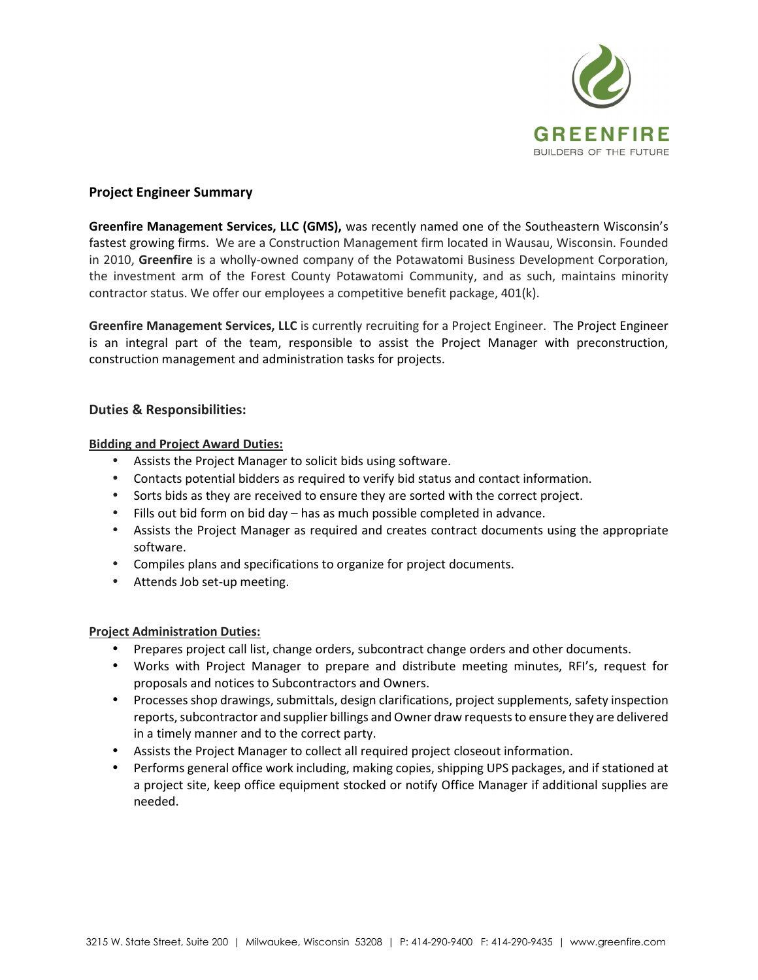

# **Project Engineer Summary**

**Greenfire Management Services, LLC (GMS),** was recently named one of the Southeastern Wisconsin's fastest growing firms. We are a Construction Management firm located in Wausau, Wisconsin. Founded in 2010, **Greenfire** is a wholly-owned company of the Potawatomi Business Development Corporation, the investment arm of the Forest County Potawatomi Community, and as such, maintains minority contractor status. We offer our employees a competitive benefit package, 401(k).

**Greenfire Management Services, LLC** is currently recruiting for a Project Engineer. The Project Engineer is an integral part of the team, responsible to assist the Project Manager with preconstruction, construction management and administration tasks for projects.

## **Duties & Responsibilities:**

## **Bidding and Project Award Duties:**

- Assists the Project Manager to solicit bids using software.
- Contacts potential bidders as required to verify bid status and contact information.
- Sorts bids as they are received to ensure they are sorted with the correct project.
- Fills out bid form on bid day has as much possible completed in advance.
- Assists the Project Manager as required and creates contract documents using the appropriate software.
- Compiles plans and specifications to organize for project documents.
- Attends Job set-up meeting.

## **Project Administration Duties:**

- Prepares project call list, change orders, subcontract change orders and other documents.
- Works with Project Manager to prepare and distribute meeting minutes, RFI's, request for proposals and notices to Subcontractors and Owners.
- Processes shop drawings, submittals, design clarifications, project supplements, safety inspection reports, subcontractor and supplier billings and Owner draw requests to ensure they are delivered in a timely manner and to the correct party.
- Assists the Project Manager to collect all required project closeout information.
- Performs general office work including, making copies, shipping UPS packages, and if stationed at a project site, keep office equipment stocked or notify Office Manager if additional supplies are needed.